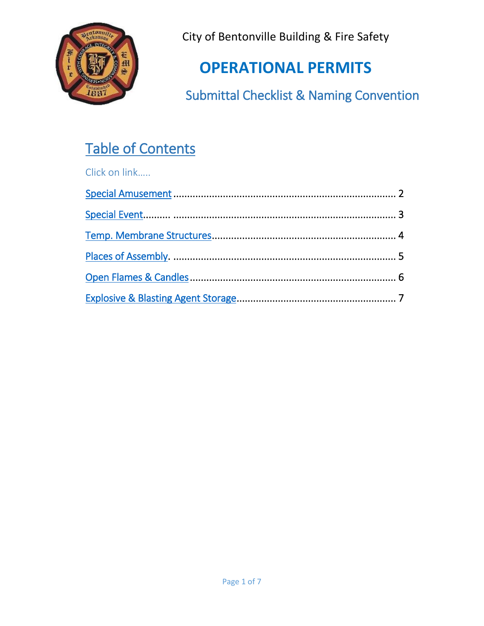

# **OPERATIONAL PERMITS**

Submittal Checklist & Naming Convention

# Table of Contents

Click on link…..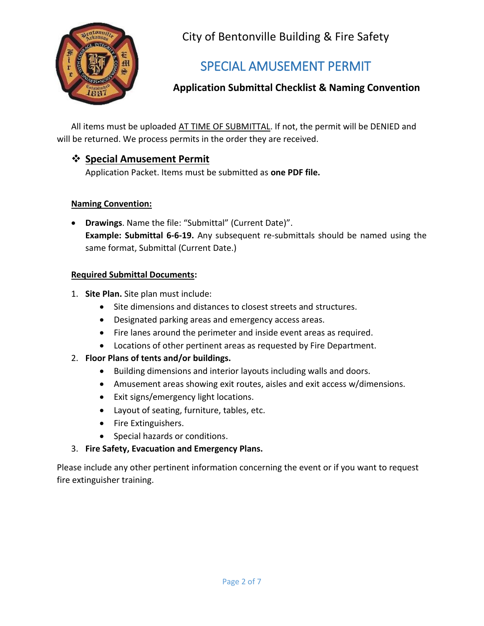

## SPECIAL AMUSEMENT PERMIT

### <span id="page-1-0"></span>**Application Submittal Checklist & Naming Convention**

All items must be uploaded AT TIME OF SUBMITTAL. If not, the permit will be DENIED and will be returned. We process permits in the order they are received.

#### **Special Amusement Permit**

Application Packet. Items must be submitted as **one PDF file.**

#### **Naming Convention:**

 **Drawings**. Name the file: "Submittal" (Current Date)". **Example: Submittal 6-6-19.** Any subsequent re-submittals should be named using the same format, Submittal (Current Date.)

#### **Required Submittal Documents:**

- 1. **Site Plan.** Site plan must include:
	- Site dimensions and distances to closest streets and structures.
	- Designated parking areas and emergency access areas.
	- Fire lanes around the perimeter and inside event areas as required.
	- Locations of other pertinent areas as requested by Fire Department.

#### 2. **Floor Plans of tents and/or buildings.**

- Building dimensions and interior layouts including walls and doors.
- Amusement areas showing exit routes, aisles and exit access w/dimensions.
- Exit signs/emergency light locations.
- Layout of seating, furniture, tables, etc.
- Fire Extinguishers.
- Special hazards or conditions.
- 3. **Fire Safety, Evacuation and Emergency Plans.**

Please include any other pertinent information concerning the event or if you want to request fire extinguisher training.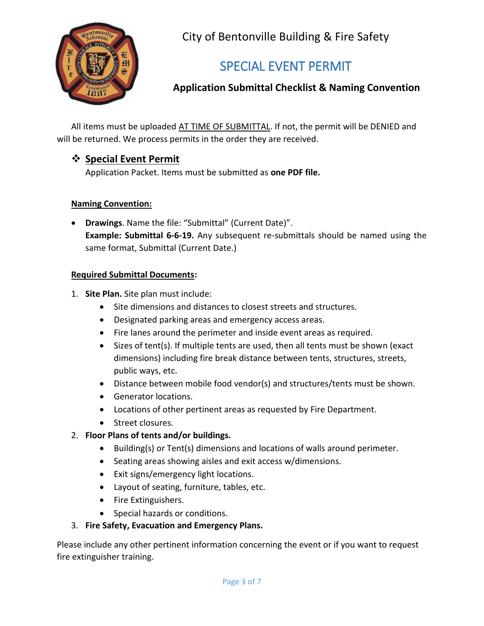

## SPECIAL EVENT PERMIT

### <span id="page-2-0"></span>**Application Submittal Checklist & Naming Convention**

All items must be uploaded AT TIME OF SUBMITTAL. If not, the permit will be DENIED and will be returned. We process permits in the order they are received.

#### **Special Event Permit**

Application Packet. Items must be submitted as **one PDF file.**

#### **Naming Convention:**

 **Drawings**. Name the file: "Submittal" (Current Date)". **Example: Submittal 6-6-19.** Any subsequent re-submittals should be named using the same format, Submittal (Current Date.)

#### **Required Submittal Documents:**

- 1. **Site Plan.** Site plan must include:
	- Site dimensions and distances to closest streets and structures.
	- Designated parking areas and emergency access areas.
	- Fire lanes around the perimeter and inside event areas as required.
	- Sizes of tent(s). If multiple tents are used, then all tents must be shown (exact dimensions) including fire break distance between tents, structures, streets, public ways, etc.
	- Distance between mobile food vendor(s) and structures/tents must be shown.
	- Generator locations.
	- Locations of other pertinent areas as requested by Fire Department.
	- Street closures.

#### 2. **Floor Plans of tents and/or buildings.**

- Building(s) or Tent(s) dimensions and locations of walls around perimeter.
- Seating areas showing aisles and exit access w/dimensions.
- Exit signs/emergency light locations.
- Layout of seating, furniture, tables, etc.
- Fire Extinguishers.
- Special hazards or conditions.
- 3. **Fire Safety, Evacuation and Emergency Plans.**

Please include any other pertinent information concerning the event or if you want to request fire extinguisher training.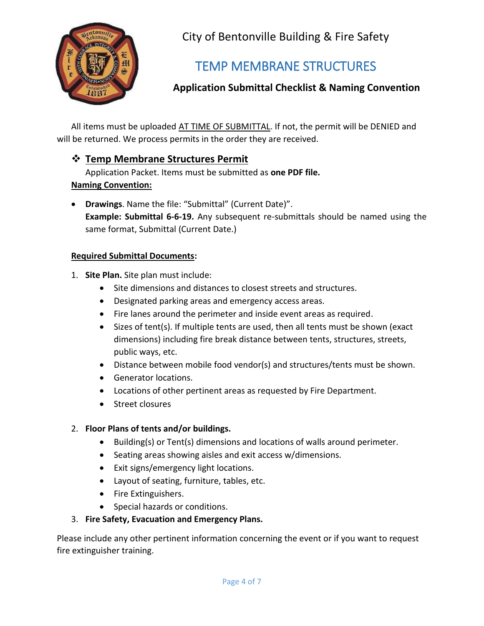

## TEMP MEMBRANE STRUCTURES

### <span id="page-3-0"></span>**Application Submittal Checklist & Naming Convention**

All items must be uploaded AT TIME OF SUBMITTAL. If not, the permit will be DENIED and will be returned. We process permits in the order they are received.

### **Temp Membrane Structures Permit**

Application Packet. Items must be submitted as **one PDF file.**

#### **Naming Convention:**

 **Drawings**. Name the file: "Submittal" (Current Date)". **Example: Submittal 6-6-19.** Any subsequent re-submittals should be named using the same format, Submittal (Current Date.)

#### **Required Submittal Documents:**

- 1. **Site Plan.** Site plan must include:
	- Site dimensions and distances to closest streets and structures.
	- Designated parking areas and emergency access areas.
	- Fire lanes around the perimeter and inside event areas as required.
	- Sizes of tent(s). If multiple tents are used, then all tents must be shown (exact dimensions) including fire break distance between tents, structures, streets, public ways, etc.
	- Distance between mobile food vendor(s) and structures/tents must be shown.
	- Generator locations.
	- Locations of other pertinent areas as requested by Fire Department.
	- Street closures

#### 2. **Floor Plans of tents and/or buildings.**

- Building(s) or Tent(s) dimensions and locations of walls around perimeter.
- Seating areas showing aisles and exit access w/dimensions.
- Exit signs/emergency light locations.
- Layout of seating, furniture, tables, etc.
- Fire Extinguishers.
- Special hazards or conditions.

#### 3. **Fire Safety, Evacuation and Emergency Plans.**

Please include any other pertinent information concerning the event or if you want to request fire extinguisher training.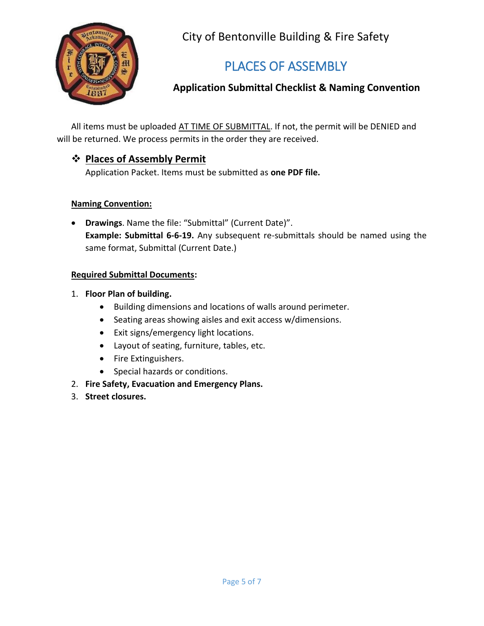

## PLACES OF ASSEMBLY

## <span id="page-4-0"></span>**Application Submittal Checklist & Naming Convention**

All items must be uploaded AT TIME OF SUBMITTAL. If not, the permit will be DENIED and will be returned. We process permits in the order they are received.

#### **Places of Assembly Permit**

Application Packet. Items must be submitted as **one PDF file.**

#### **Naming Convention:**

 **Drawings**. Name the file: "Submittal" (Current Date)". **Example: Submittal 6-6-19.** Any subsequent re-submittals should be named using the same format, Submittal (Current Date.)

#### **Required Submittal Documents:**

#### 1. **Floor Plan of building.**

- Building dimensions and locations of walls around perimeter.
- Seating areas showing aisles and exit access w/dimensions.
- Exit signs/emergency light locations.
- Layout of seating, furniture, tables, etc.
- Fire Extinguishers.
- Special hazards or conditions.
- 2. **Fire Safety, Evacuation and Emergency Plans.**
- 3. **Street closures.**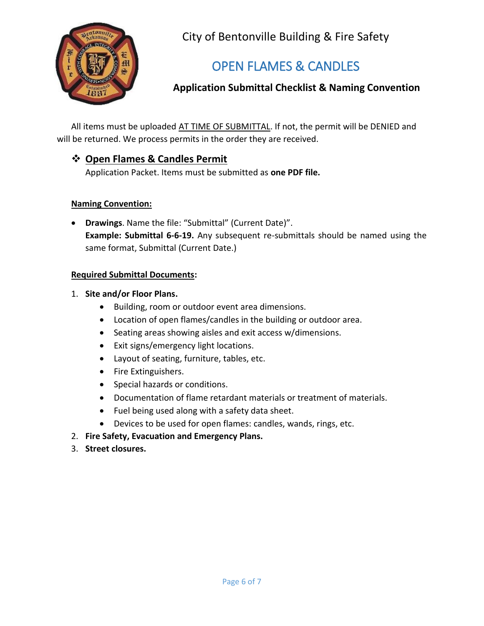

## OPEN FLAMES & CANDLES

## <span id="page-5-0"></span>**Application Submittal Checklist & Naming Convention**

All items must be uploaded AT TIME OF SUBMITTAL. If not, the permit will be DENIED and will be returned. We process permits in the order they are received.

### **Open Flames & Candles Permit**

Application Packet. Items must be submitted as **one PDF file.**

#### **Naming Convention:**

 **Drawings**. Name the file: "Submittal" (Current Date)". **Example: Submittal 6-6-19.** Any subsequent re-submittals should be named using the same format, Submittal (Current Date.)

#### **Required Submittal Documents:**

#### 1. **Site and/or Floor Plans.**

- Building, room or outdoor event area dimensions.
- Location of open flames/candles in the building or outdoor area.
- Seating areas showing aisles and exit access w/dimensions.
- Exit signs/emergency light locations.
- Layout of seating, furniture, tables, etc.
- Fire Extinguishers.
- Special hazards or conditions.
- Documentation of flame retardant materials or treatment of materials.
- Fuel being used along with a safety data sheet.
- Devices to be used for open flames: candles, wands, rings, etc.
- 2. **Fire Safety, Evacuation and Emergency Plans.**
- 3. **Street closures.**